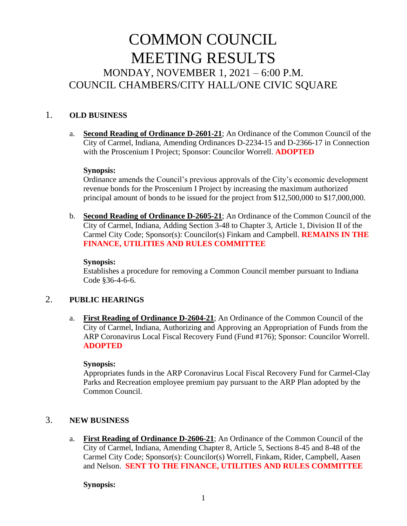# COMMON COUNCIL MEETING RESULTS MONDAY, NOVEMBER 1, 2021 – 6:00 P.M. COUNCIL CHAMBERS/CITY HALL/ONE CIVIC SQUARE

# 1. **OLD BUSINESS**

a. **Second Reading of Ordinance D-2601-21**; An Ordinance of the Common Council of the City of Carmel, Indiana, Amending Ordinances D-2234-15 and D-2366-17 in Connection with the Proscenium I Project; Sponsor: Councilor Worrell. **ADOPTED**

#### **Synopsis:**

Ordinance amends the Council's previous approvals of the City's economic development revenue bonds for the Proscenium I Project by increasing the maximum authorized principal amount of bonds to be issued for the project from \$12,500,000 to \$17,000,000.

b. **Second Reading of Ordinance D-2605-21**; An Ordinance of the Common Council of the City of Carmel, Indiana, Adding Section 3-48 to Chapter 3, Article 1, Division II of the Carmel City Code; Sponsor(s): Councilor(s) Finkam and Campbell. **REMAINS IN THE FINANCE, UTILITIES AND RULES COMMITTEE**

#### **Synopsis:**

Establishes a procedure for removing a Common Council member pursuant to Indiana Code §36-4-6-6.

## 2. **PUBLIC HEARINGS**

a. **First Reading of Ordinance D-2604-21**; An Ordinance of the Common Council of the City of Carmel, Indiana, Authorizing and Approving an Appropriation of Funds from the ARP Coronavirus Local Fiscal Recovery Fund (Fund #176); Sponsor: Councilor Worrell. **ADOPTED**

## **Synopsis:**

Appropriates funds in the ARP Coronavirus Local Fiscal Recovery Fund for Carmel-Clay Parks and Recreation employee premium pay pursuant to the ARP Plan adopted by the Common Council.

# 3. **NEW BUSINESS**

a. **First Reading of Ordinance D-2606-21**; An Ordinance of the Common Council of the City of Carmel, Indiana, Amending Chapter 8, Article 5, Sections 8-45 and 8-48 of the Carmel City Code; Sponsor(s): Councilor(s) Worrell, Finkam, Rider, Campbell, Aasen and Nelson. **SENT TO THE FINANCE, UTILITIES AND RULES COMMITTEE**

## **Synopsis:**